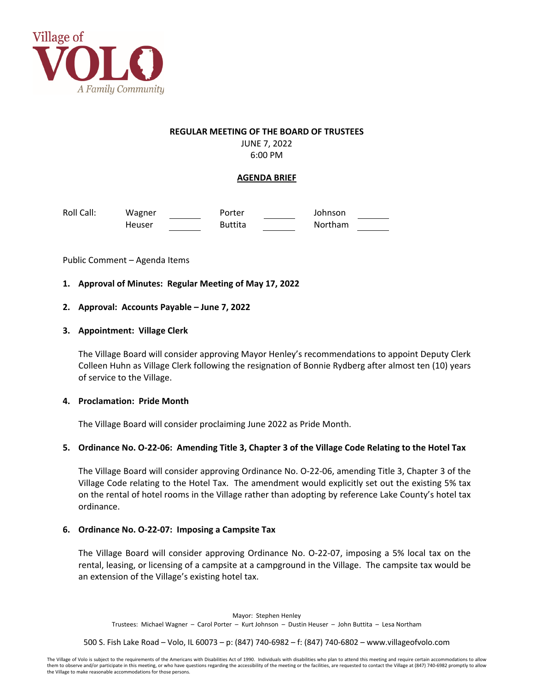

### **REGULAR MEETING OF THE BOARD OF TRUSTEES**

JUNE 7, 2022 6:00 PM

# **AGENDA BRIEF**

Roll Call: Wagner Porter Johnson Heuser Buttita Northam

Public Comment – Agenda Items

# **1. Approval of Minutes: Regular Meeting of May 17, 2022**

## **2. Approval: Accounts Payable – June 7, 2022**

## **3. Appointment: Village Clerk**

The Village Board will consider approving Mayor Henley's recommendations to appoint Deputy Clerk Colleen Huhn as Village Clerk following the resignation of Bonnie Rydberg after almost ten (10) years of service to the Village.

### **4. Proclamation: Pride Month**

The Village Board will consider proclaiming June 2022 as Pride Month.

# 5. Ordinance No. O-22-06: Amending Title 3, Chapter 3 of the Village Code Relating to the Hotel Tax

The Village Board will consider approving Ordinance No. O‐22‐06, amending Title 3, Chapter 3 of the Village Code relating to the Hotel Tax. The amendment would explicitly set out the existing 5% tax on the rental of hotel rooms in the Village rather than adopting by reference Lake County's hotel tax ordinance.

### **6. Ordinance No. O‐22‐07: Imposing a Campsite Tax**

The Village Board will consider approving Ordinance No. O‐22‐07, imposing a 5% local tax on the rental, leasing, or licensing of a campsite at a campground in the Village. The campsite tax would be an extension of the Village's existing hotel tax.

Mayor: Stephen Henley Trustees: Michael Wagner – Carol Porter – Kurt Johnson – Dustin Heuser – John Buttita – Lesa Northam

500 S. Fish Lake Road – Volo, IL 60073 – p: (847) 740‐6982 – f: (847) 740‐6802 – www.villageofvolo.com

The Village of Volo is subject to the requirements of the Americans with Disabilities Act of 1990. Individuals with disabilities who plan to attend this meeting and require certain accommodations to allow them to observe and/or participate in this meeting, or who have questions regarding the accessibility of the meeting or the facilities, are requested to contact the Village at (847) 740-6982 promptly to allow the Village to make reasonable accommodations for those persons.